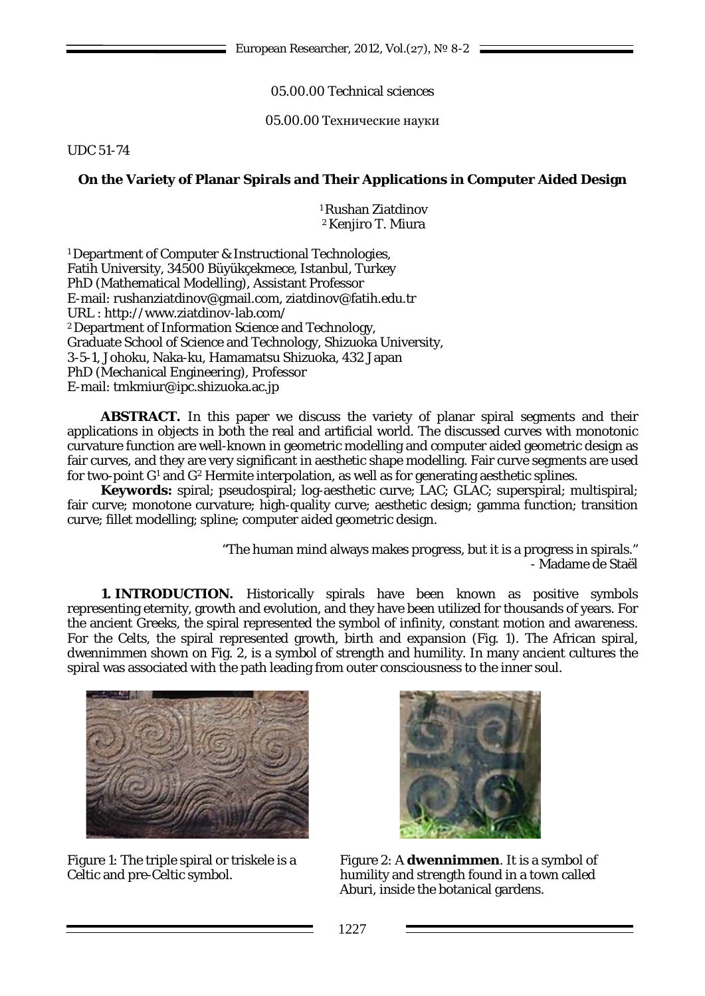05.00.00 Technical sciences

05.00.00 Технические науки

UDC 51-74

## **On the Variety of Planar Spirals and Their Applications in Computer Aided Design**

<sup>1</sup> Rushan Ziatdinov 2Kenjiro T. Miura

<sup>1</sup> Department of Computer & Instructional Technologies, Fatih University, 34500 Büyükçekmece, Istanbul, Turkey PhD (Mathematical Modelling), Assistant Professor E-mail: rushanziatdinov@gmail.com, ziatdinov@fatih.edu.tr URL :<http://www.ziatdinov-lab.com/> 2Department of Information Science and Technology, Graduate School of Science and Technology, Shizuoka University, 3-5-1, Johoku, Naka-ku, Hamamatsu Shizuoka, 432 Japan PhD (Mechanical Engineering), Professor E-mail: [tmkmiur@ipc.shizuoka.ac.jp](mailto:tmkmiur@ipc.shizuoka.ac.jp)

**ABSTRACT.** In this paper we discuss the variety of planar spiral segments and their applications in objects in both the real and artificial world. The discussed curves with monotonic curvature function are well-known in geometric modelling and computer aided geometric design as fair curves, and they are very significant in aesthetic shape modelling. Fair curve segments are used for two-point *G*<sup>1</sup> and *G*<sup>2</sup> Hermite interpolation, as well as for generating aesthetic splines.

**Keywords:** spiral; pseudospiral; log-aesthetic curve; LAC; GLAC; superspiral; multispiral; fair curve; monotone curvature; high-quality curve; aesthetic design; gamma function; transition curve; fillet modelling; spline; computer aided geometric design.

> "The human mind always makes progress, but it is a progress in spirals." - Madame de Staël

**1. INTRODUCTION.** Historically spirals have been known as positive symbols representing eternity, growth and evolution, and they have been utilized for thousands of years. For the ancient Greeks, the spiral represented the symbol of infinity, constant motion and awareness. For the Celts, the spiral represented growth, birth and expansion (Fig. 1). The African spiral, dwennimmen shown on Fig. 2, is a symbol of strength and humility. In many ancient cultures the spiral was associated with the path leading from outer consciousness to the inner soul.



Figure 1: The triple spiral or triskele is a Celtic and pre-Celtic symbol.



Figure 2: A **dwennimmen**. It is a symbol of humility and strength found in a town called Aburi, inside the botanical gardens.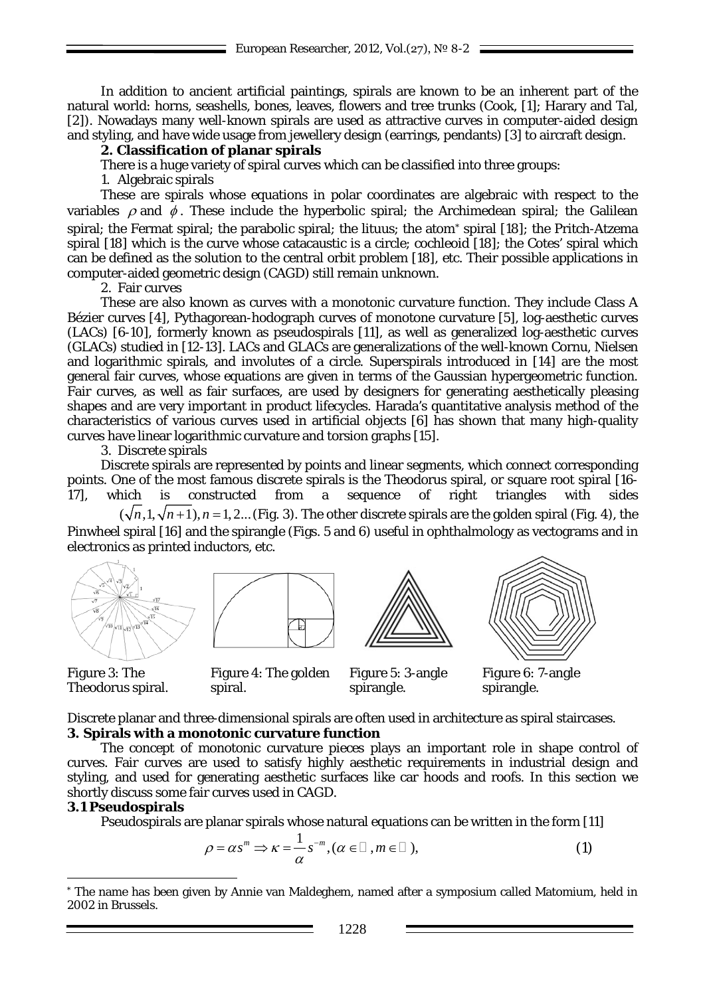In addition to ancient artificial paintings, spirals are known to be an inherent part of the natural world: horns, seashells, bones, leaves, flowers and tree trunks (Cook, [1]; Harary and Tal, [2]). Nowadays many well-known spirals are used as attractive curves in computer-aided design and styling, and have wide usage from jewellery design (earrings, pendants) [3] to aircraft design.

#### **2. Classification of planar spirals**

There is a huge variety of spiral curves which can be classified into three groups:

1. Algebraic spirals

These are spirals whose equations in polar coordinates are algebraic with respect to the variables  $\rho$  and  $\phi$ . These include the hyperbolic spiral; the Archimedean spiral; the Galilean spiral; the Fermat spiral; the parabolic spiral; the lituus; the atom\* spiral [18]; the Pritch-Atzema spiral [18] which is the curve whose catacaustic is a circle; cochleoid [18]; the Cotes' spiral which can be defined as the solution to the central orbit problem [18], etc. Their possible applications in computer-aided geometric design (CAGD) still remain unknown.

2. Fair curves

These are also known as curves with a monotonic curvature function. They include Class A Bézier curves [4], Pythagorean-hodograph curves of monotone curvature [5], log-aesthetic curves (LACs) [6-10], formerly known as pseudospirals [11], as well as generalized log-aesthetic curves (GLACs) studied in [12-13]. LACs and GLACs are generalizations of the well-known Cornu, Nielsen and logarithmic spirals, and involutes of a circle. Superspirals introduced in [14] are the most general fair curves, whose equations are given in terms of the Gaussian hypergeometric function. Fair curves, as well as fair surfaces, are used by designers for generating aesthetically pleasing shapes and are very important in product lifecycles. Harada's quantitative analysis method of the characteristics of various curves used in artificial objects [6] has shown that many high-quality curves have linear logarithmic curvature and torsion graphs [15].

3. Discrete spirals

Discrete spirals are represented by points and linear segments, which connect corresponding points. One of the most famous discrete spirals is the Theodorus spiral, or square root spiral [16- 17], which is constructed from a sequence of right triangles with sides

 $(\sqrt{n}, 1, \sqrt{n+1})$ ,  $n = 1, 2...$  (Fig. 3). The other discrete spirals are the golden spiral (Fig. 4), the Pinwheel spiral [16] and the spirangle (Figs. 5 and 6) useful in ophthalmology as vectograms and in electronics as printed inductors, etc.













spirangle.



Figure 6: 7-angle spirangle.

Discrete planar and three-dimensional spirals are often used in architecture as spiral staircases. **3. Spirals with a monotonic curvature function**

The concept of monotonic curvature pieces plays an important role in shape control of curves. Fair curves are used to satisfy highly aesthetic requirements in industrial design and styling, and used for generating aesthetic surfaces like car hoods and roofs. In this section we shortly discuss some fair curves used in CAGD.

#### **3.1 Pseudospirals**

Pseudospirals are planar spirals whose natural equations can be written in the form [11]

$$
\rho = \alpha s^m \Rightarrow \kappa = \frac{1}{\alpha} s^{-m}, (\alpha \in \square, m \in \square), \tag{1}
$$

<sup>&</sup>lt;u>.</u> \* The name has been given by Annie van Maldeghem, named after a symposium called Matomium, held in 2002 in Brussels.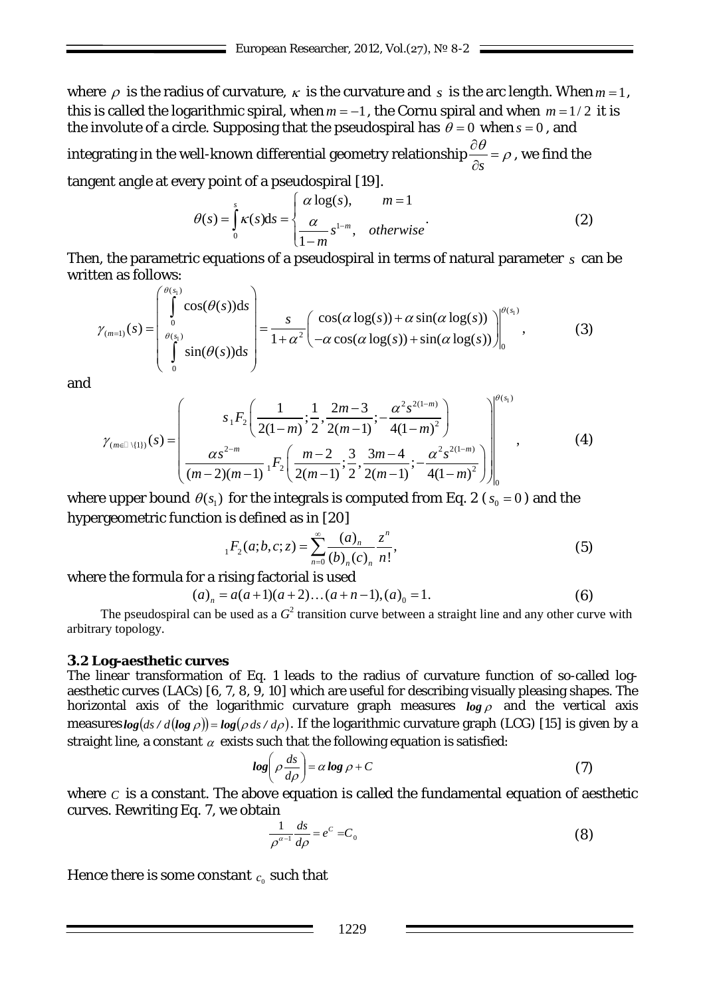where  $\rho$  is the radius of curvature,  $\kappa$  is the curvature and  $\sigma$  is the arc length. When  $m = 1$ , this is called the logarithmic spiral, when  $m = -1$ , the Cornu spiral and when  $m = 1/2$  it is the involute of a circle. Supposing that the pseudospiral has  $\theta = 0$  when  $s = 0$ , and integrating in the well-known differential geometry relationship *s* θ ρ  $\frac{\partial \theta}{\partial s} = \rho$ , we find the tangent angle at every point of a pseudospiral [19].

$$
\theta(s) = \int_{0}^{s} \kappa(s) \, \mathrm{d}s = \begin{cases} \alpha \log(s), & m = 1 \\ \frac{\alpha}{1 - m} s^{1 - m}, & \text{otherwise} \end{cases} \tag{2}
$$

Then, the parametric equations of a pseudospiral in terms of natural parameter *s* can be written as follows:

$$
\gamma_{(m=1)}(s) = \begin{pmatrix} \theta(s_1) & \cdots & \theta(s_n) \\ \int_0^{\theta(s_1)} \cos(\theta(s))ds \\ \int_0^{\theta(s_1)} \sin(\theta(s))ds \end{pmatrix} = \frac{s}{1+\alpha^2} \begin{pmatrix} \cos(\alpha \log(s)) + \alpha \sin(\alpha \log(s)) \\ -\alpha \cos(\alpha \log(s)) + \sin(\alpha \log(s)) \end{pmatrix} \Big|_0^{\theta(s_1)},\tag{3}
$$

and

$$
\gamma_{(m\in\mathbb{I}\backslash\{1\})}(s) = \left(\frac{s_1F_2\left(\frac{1}{2(1-m)};\frac{1}{2},\frac{2m-3}{2(m-1)};\frac{\alpha^2s^{2(1-m)}}{4(1-m)^2}\right)}{\frac{\alpha s^{2-m}}{(m-2)(m-1)}\cdot F_2\left(\frac{m-2}{2(m-1)};\frac{3}{2},\frac{3m-4}{2(m-1)};\frac{\alpha^2s^{2(1-m)}}{4(1-m)^2}\right)\right|_0^{\theta(s_1)},\tag{4}
$$

where upper bound  $\theta(s_1)$  for the integrals is computed from Eq. 2 ( $s_0 = 0$ ) and the hypergeometric function is defined as in [20]

$$
{}_{1}F_{2}(a;b,c;z) = \sum_{n=0}^{\infty} \frac{(a)_{n}}{(b)_{n}(c)_{n}} \frac{z^{n}}{n!},
$$
\n(5)

where the formula for a rising factorial is used

$$
(a)_n = a(a+1)(a+2)...(a+n-1),(a)_0 = 1.
$$
 (6)

The pseudospiral can be used as a  $G^2$  transition curve between a straight line and any other curve with arbitrary topology.

# **3.2 Log-aesthetic curves**

The linear transformation of Eq. 1 leads to the radius of curvature function of so-called logaesthetic curves (LACs) [6, 7, 8, 9, 10] which are useful for describing visually pleasing shapes. The horizontal axis of the logarithmic curvature graph measures  $\rho_{\alpha}$  and the vertical axis measures  $log(ds / d(log \rho)) = log(\rho ds / d\rho)$ . If the logarithmic curvature graph (LCG) [15] is given by a straight line, a constant  $\alpha$  exists such that the following equation is satisfied:

$$
log\left(\rho \frac{ds}{d\rho}\right) = \alpha log \rho + C \tag{7}
$$

where  $C$  is a constant. The above equation is called the fundamental equation of aesthetic curves. Rewriting Eq. 7, we obtain

$$
\frac{1}{\rho^{\alpha-1}}\frac{ds}{d\rho} = e^C = C_0\tag{8}
$$

Hence there is some constant  $c_0$  such that

1229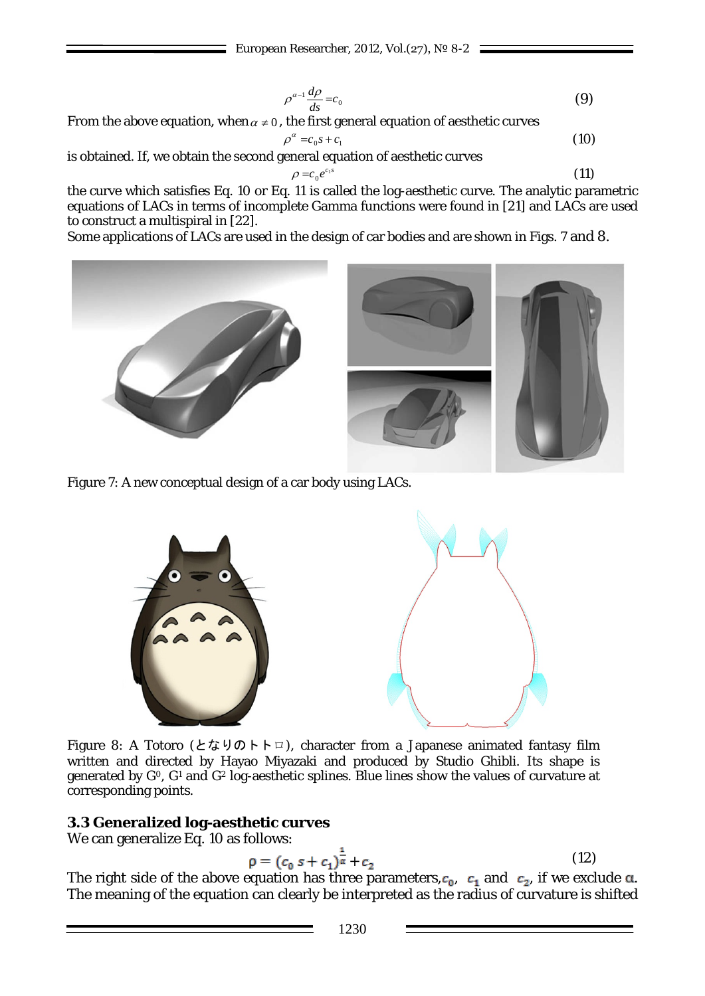$$
\rho^{\alpha-1} \frac{d\rho}{ds} = c_0 \tag{9}
$$

From the above equation, when  $\alpha \neq 0$ , the first general equation of aesthetic curves

$$
\rho^{\alpha} = c_0 s + c_1 \tag{10}
$$

is obtained. If, we obtain the second general equation of aesthetic curves

$$
\rho = c_0 e^{c_1 s} \tag{11}
$$

the curve which satisfies Eq. 10 or Eq. 11 is called the log-aesthetic curve. The analytic parametric equations of LACs in terms of incomplete Gamma functions were found in [21] and LACs are used to construct a multispiral in [22].

Some applications of LACs are used in the design of car bodies and are shown in Figs. 7 and 8.



Figure 7: A new conceptual design of a car body using LACs.



Figure 8: A Totoro (となりのトトロ), character from a Japanese animated fantasy film written and directed by Hayao Miyazaki and produced by Studio Ghibli. Its shape is generated by *G*0, *G*<sup>1</sup> and *G*<sup>2</sup> log-aesthetic splines. Blue lines show the values of curvature at corresponding points.

# **3.3 Generalized log-aesthetic curves**

We can generalize Eq. 10 as follows:

$$
\rho = (c_0 s + c_1)^{\frac{1}{\alpha}} + c_2 \tag{12}
$$

The right side of the above equation has three parameters,  $c_0$ ,  $c_1$  and  $c_2$ , if we exclude  $\alpha$ . The meaning of the equation can clearly be interpreted as the radius of curvature is shifted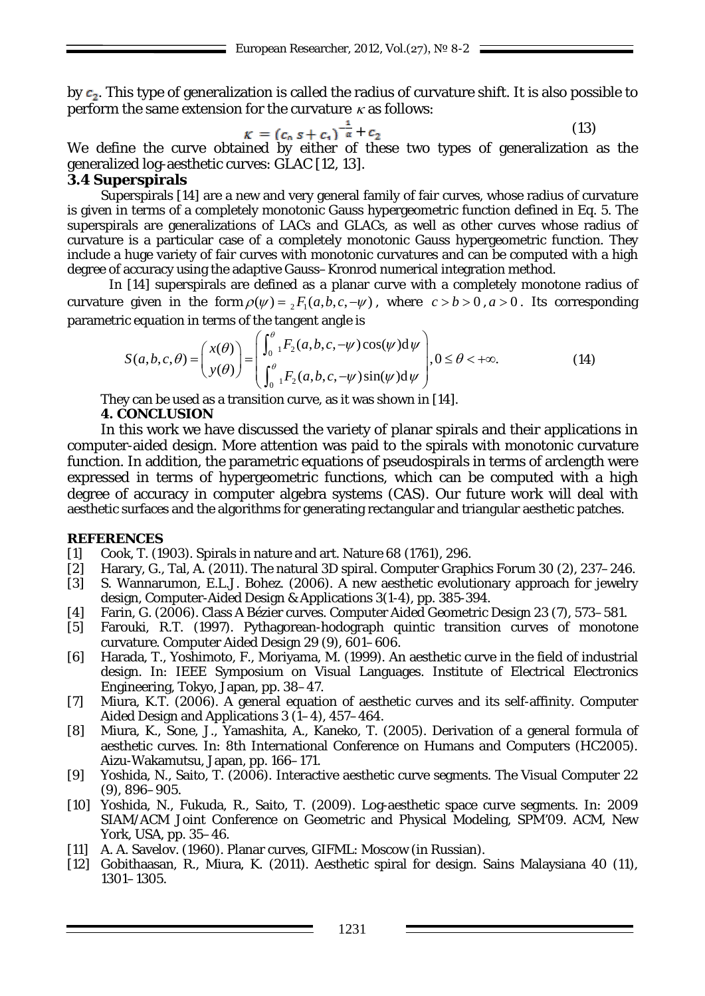by  $c_2$ . This type of generalization is called the radius of curvature shift. It is also possible to perform the same extension for the curvature  $\kappa$  as follows:

$$
\kappa = (c_0 s + c_1)^{\frac{1}{\alpha}} + c_2 \tag{13}
$$

We define the curve obtained by either of these two types of generalization as the generalized log-aesthetic curves: GLAC [12, 13].

## **3.4 Superspirals**

Superspirals [14] are a new and very general family of fair curves, whose radius of curvature is given in terms of a completely monotonic Gauss hypergeometric function defined in Eq. 5. The superspirals are generalizations of LACs and GLACs, as well as other curves whose radius of curvature is a particular case of a completely monotonic Gauss hypergeometric function. They include a huge variety of fair curves with monotonic curvatures and can be computed with a high degree of accuracy using the adaptive Gauss–Kronrod numerical integration method.

In [14] superspirals are defined as a planar curve with a completely monotone radius of curvature given in the form  $\rho(\psi) = {}_{2}F_{1}(a,b,c,-\psi)$ , where  $c > b > 0$ ,  $a > 0$ . Its corresponding parametric equation in terms of the tangent angle is

$$
S(a,b,c,\theta) = \begin{pmatrix} x(\theta) \\ y(\theta) \end{pmatrix} = \begin{pmatrix} \int_{0}^{\theta} {}_{1}F_{2}(a,b,c,-\psi)\cos(\psi)d\psi \\ \int_{0}^{\theta} {}_{1}F_{2}(a,b,c,-\psi)\sin(\psi)d\psi \end{pmatrix}, 0 \le \theta < +\infty.
$$
 (14)

They can be used as a transition curve, as it was shown in [14].

## **4. CONCLUSION**

In this work we have discussed the variety of planar spirals and their applications in computer-aided design. More attention was paid to the spirals with monotonic curvature function. In addition, the parametric equations of pseudospirals in terms of arclength were expressed in terms of hypergeometric functions, which can be computed with a high degree of accuracy in computer algebra systems (CAS). Our future work will deal with aesthetic surfaces and the algorithms for generating rectangular and triangular aesthetic patches.

## **REFERENCES**

- [1] Cook, T. (1903). Spirals in nature and art. Nature 68 (1761), 296.<br>[2] Harary, G., Tal, A. (2011). The natural 3D spiral. Computer Graph
- Harary, G., Tal, A. (2011). The natural 3D spiral. Computer Graphics Forum 30 (2), 237–246.
- [3] S. Wannarumon, E.L.J. Bohez. (2006). A new aesthetic evolutionary approach for jewelry design, Computer-Aided Design & Applications 3(1-4), pp. 385-394.
- [4] Farin, G. (2006). Class A Bézier curves. Computer Aided Geometric Design 23 (7), 573–581.
- [5] Farouki, R.T. (1997). Pythagorean-hodograph quintic transition curves of monotone curvature. Computer Aided Design 29 (9), 601–606.
- [6] Harada, T., Yoshimoto, F., Moriyama, M. (1999). An aesthetic curve in the field of industrial design. In: IEEE Symposium on Visual Languages. Institute of Electrical Electronics Engineering, Tokyo, Japan, pp. 38–47.
- [7] Miura, K.T. (2006). A general equation of aesthetic curves and its self-affinity. Computer Aided Design and Applications 3 (1–4), 457–464.
- [8] Miura, K., Sone, J., Yamashita, A., Kaneko, T. (2005). Derivation of a general formula of aesthetic curves. In: 8th International Conference on Humans and Computers (HC2005). Aizu-Wakamutsu, Japan, pp. 166–171.
- [9] Yoshida, N., Saito, T. (2006). Interactive aesthetic curve segments. The Visual Computer 22 (9), 896–905.
- [10] Yoshida, N., Fukuda, R., Saito, T. (2009). Log-aesthetic space curve segments. In: 2009 SIAM/ACM Joint Conference on Geometric and Physical Modeling, SPM'09. ACM, New York, USA, pp. 35–46.
- [11] A. A. Savelov. (1960). Planar curves, GIFML: Moscow (in Russian).
- [12] Gobithaasan, R., Miura, K. (2011). Aesthetic spiral for design. Sains Malaysiana 40 (11), 1301–1305.